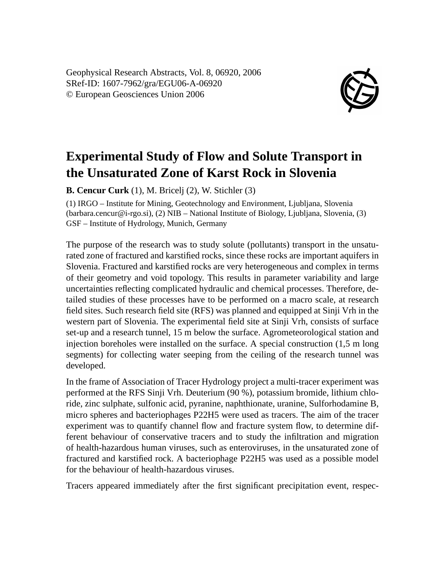Geophysical Research Abstracts, Vol. 8, 06920, 2006 SRef-ID: 1607-7962/gra/EGU06-A-06920 © European Geosciences Union 2006



## **Experimental Study of Flow and Solute Transport in the Unsaturated Zone of Karst Rock in Slovenia**

**B. Cencur Curk** (1), M. Bricelj (2), W. Stichler (3)

(1) IRGO – Institute for Mining, Geotechnology and Environment, Ljubljana, Slovenia (barbara.cencur@i-rgo.si), (2) NIB – National Institute of Biology, Ljubljana, Slovenia, (3) GSF – Institute of Hydrology, Munich, Germany

The purpose of the research was to study solute (pollutants) transport in the unsaturated zone of fractured and karstified rocks, since these rocks are important aquifers in Slovenia. Fractured and karstified rocks are very heterogeneous and complex in terms of their geometry and void topology. This results in parameter variability and large uncertainties reflecting complicated hydraulic and chemical processes. Therefore, detailed studies of these processes have to be performed on a macro scale, at research field sites. Such research field site (RFS) was planned and equipped at Sinji Vrh in the western part of Slovenia. The experimental field site at Sinji Vrh, consists of surface set-up and a research tunnel, 15 m below the surface. Agrometeorological station and injection boreholes were installed on the surface. A special construction (1,5 m long segments) for collecting water seeping from the ceiling of the research tunnel was developed.

In the frame of Association of Tracer Hydrology project a multi-tracer experiment was performed at the RFS Sinji Vrh. Deuterium (90 %), potassium bromide, lithium chloride, zinc sulphate, sulfonic acid, pyranine, naphthionate, uranine, Sulforhodamine B, micro spheres and bacteriophages P22H5 were used as tracers. The aim of the tracer experiment was to quantify channel flow and fracture system flow, to determine different behaviour of conservative tracers and to study the infiltration and migration of health-hazardous human viruses, such as enteroviruses, in the unsaturated zone of fractured and karstified rock. A bacteriophage P22H5 was used as a possible model for the behaviour of health-hazardous viruses.

Tracers appeared immediately after the first significant precipitation event, respec-